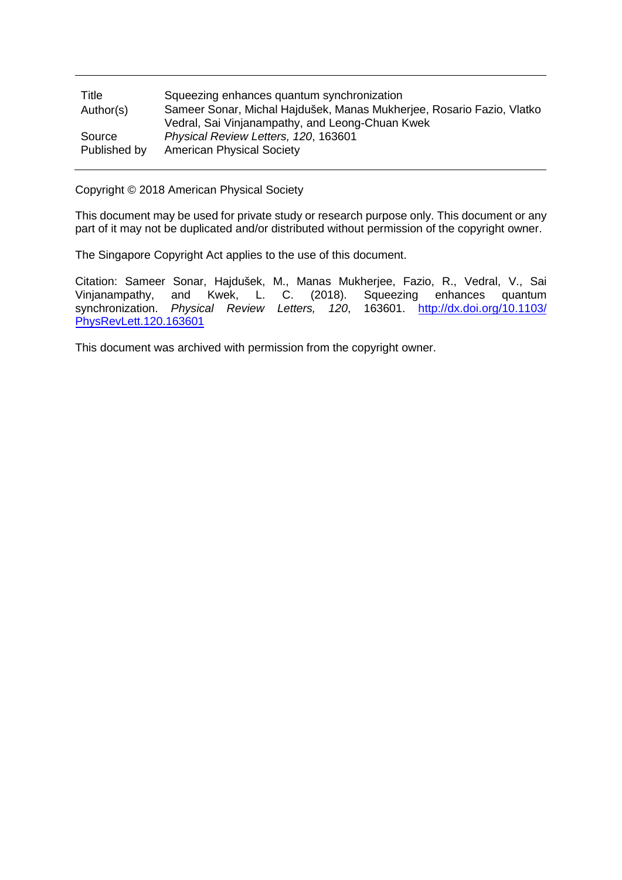| Title        | Squeezing enhances quantum synchronization                            |
|--------------|-----------------------------------------------------------------------|
| Author(s)    | Sameer Sonar, Michal Hajdušek, Manas Mukherjee, Rosario Fazio, Vlatko |
|              | Vedral, Sai Vinjanampathy, and Leong-Chuan Kwek                       |
| Source       | Physical Review Letters, 120, 163601                                  |
| Published by | <b>American Physical Society</b>                                      |

Copyright © 2018 American Physical Society

This document may be used for private study or research purpose only. This document or any part of it may not be duplicated and/or distributed without permission of the copyright owner.

The Singapore Copyright Act applies to the use of this document.

Citation: Sameer Sonar, Hajdušek, M., Manas Mukherjee, Fazio, R., Vedral, V., Sai<br>Vinjanampathy, and Kwek, L. C. (2018). Squeezing enhances quantum Vinjanampathy, and Kwek, L. C. (2<br>synchronization. Physical Review Letters, synchronization. *Physical Review Letters, 120*, 163601. [http://dx.doi.org/10.110](http://dx.doi.org/10.1103/PhysRevLett.120.163601)3/ PhysRevLett.120.163601

This document was archived with permission from the copyright owner.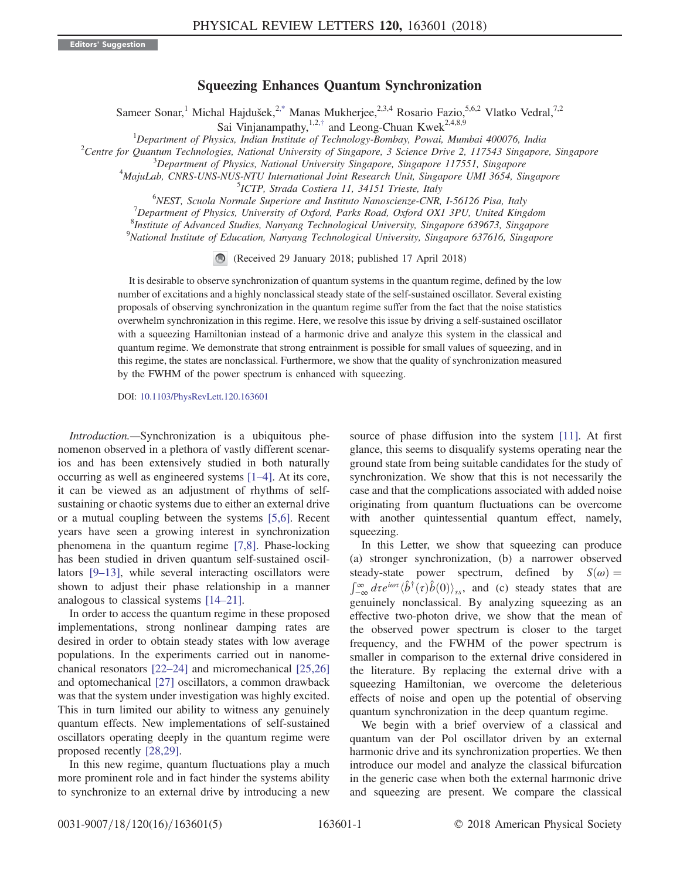## Squeezing Enhances Quantum Synchronization

Sameer Sonar,<sup>1</sup> Michal Hajdušek,<sup>2[,\\*](#page-4-0)</sup> Manas Mukherjee,<sup>2,3,4</sup> Rosario Fazio,<sup>5,6,2</sup> Vlatko Vedral,<sup>7,2</sup>

Sai Vinjanampathy, $1,2,†}$  $1,2,†}$  $1,2,†}$  and Leong-Chuan Kwek<sup>2,4,8,9</sup>

<span id="page-1-1"></span><span id="page-1-0"></span><sup>1</sup>Department of Physics, Indian Institute of Technology-Bombay, Powai, Mumbai 400076, India<sup>2</sup>Centre for Quantum Technologies, National University of Singgnore, 3 Science Drive 2, 117543 Singgnore

<sup>2</sup>Centre for Quantum Technologies, National University of Singapore, 3 Science Drive 2, 117543 Singapore, Singapore

 $3$ Department of Physics, National University Singapore, Singapore 117551, Singapore

<sup>4</sup>MajuLab, CNRS-UNS-NUS-NTU International Joint Research Unit, Singapore UMI 3654, Singapore<br><sup>5</sup>ICTP, Strada Costiera 11, 34151 Trieste, Italy

 ${}^{5}ICTP$ , Strada Costiera 11, 34151 Trieste, Italy 6NEST, Squala Normala Superiors and Institute Naposcional CND

<sup>o</sup>NEST, Scuola Normale Superiore and Instituto Nanoscienze-CNR, I-56126 Pisa, Italy 7<br><sup>7</sup> Department of Physics, University of Oxford, Parks Road, Oxford OXL 3PU, United King

<sup>7</sup>Department of Physics, University of Oxford, Parks Road, Oxford OX1 3PU, United Kingdom

<sup>8</sup>Institute of Advanced Studies, Nanyang Technological University, Singapore 639673, Singapore<br><sup>9</sup>National Institute of Education, Nanyang Technological University, Singapore 637616, Singapore  $^{9}$ National Institute of Education, Nanyang Technological University, Singapore 637616, Singapore

(Received 29 January 2018; published 17 April 2018)

It is desirable to observe synchronization of quantum systems in the quantum regime, defined by the low number of excitations and a highly nonclassical steady state of the self-sustained oscillator. Several existing proposals of observing synchronization in the quantum regime suffer from the fact that the noise statistics overwhelm synchronization in this regime. Here, we resolve this issue by driving a self-sustained oscillator with a squeezing Hamiltonian instead of a harmonic drive and analyze this system in the classical and quantum regime. We demonstrate that strong entrainment is possible for small values of squeezing, and in this regime, the states are nonclassical. Furthermore, we show that the quality of synchronization measured by the FWHM of the power spectrum is enhanced with squeezing.

DOI: [10.1103/PhysRevLett.120.163601](https://doi.org/10.1103/PhysRevLett.120.163601)

Introduction.—Synchronization is a ubiquitous phenomenon observed in a plethora of vastly different scenarios and has been extensively studied in both naturally occurring as well as engineered systems [1–[4\]](#page-4-2). At its core, it can be viewed as an adjustment of rhythms of selfsustaining or chaotic systems due to either an external drive or a mutual coupling between the systems [\[5,6\]](#page-5-0). Recent years have seen a growing interest in synchronization phenomena in the quantum regime [\[7,8\].](#page-5-1) Phase-locking has been studied in driven quantum self-sustained oscillators [9–[13\]](#page-5-2), while several interacting oscillators were shown to adjust their phase relationship in a manner analogous to classical systems [14–[21\].](#page-5-3)

In order to access the quantum regime in these proposed implementations, strong nonlinear damping rates are desired in order to obtain steady states with low average populations. In the experiments carried out in nanomechanical resonators [\[22](#page-5-4)–24] and micromechanical [\[25,26\]](#page-5-5) and optomechanical [\[27\]](#page-5-6) oscillators, a common drawback was that the system under investigation was highly excited. This in turn limited our ability to witness any genuinely quantum effects. New implementations of self-sustained oscillators operating deeply in the quantum regime were proposed recently [\[28,29\]](#page-5-7).

In this new regime, quantum fluctuations play a much more prominent role and in fact hinder the systems ability to synchronize to an external drive by introducing a new source of phase diffusion into the system [\[11\].](#page-5-8) At first glance, this seems to disqualify systems operating near the ground state from being suitable candidates for the study of synchronization. We show that this is not necessarily the case and that the complications associated with added noise originating from quantum fluctuations can be overcome with another quintessential quantum effect, namely, squeezing.

In this Letter, we show that squeezing can produce (a) stronger synchronization, (b) a narrower observed steady-state power spectrum, defined by  $S(\omega) =$  $\int_{-\infty}^{\infty} d\tau e^{i\omega\tau} \langle \hat{b}^{\dagger}(\tau)\hat{b}(0)\rangle_{ss}$ , and (c) steady states that are genuinely nonclassical. By analyzing squeezing as an effective two-photon drive, we show that the mean of the observed power spectrum is closer to the target frequency, and the FWHM of the power spectrum is smaller in comparison to the external drive considered in the literature. By replacing the external drive with a squeezing Hamiltonian, we overcome the deleterious effects of noise and open up the potential of observing quantum synchronization in the deep quantum regime.

We begin with a brief overview of a classical and quantum van der Pol oscillator driven by an external harmonic drive and its synchronization properties. We then introduce our model and analyze the classical bifurcation in the generic case when both the external harmonic drive and squeezing are present. We compare the classical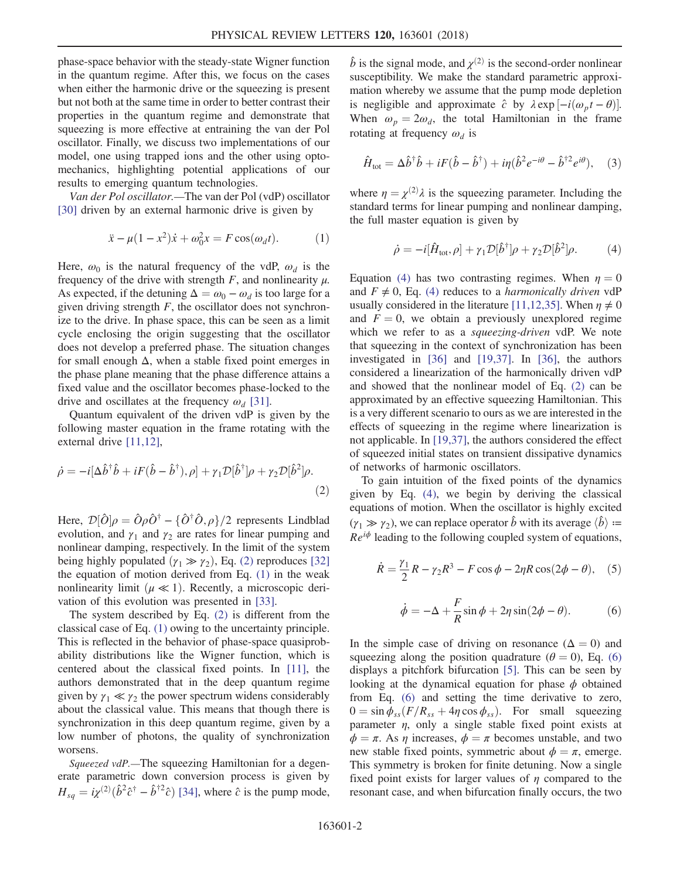phase-space behavior with the steady-state Wigner function in the quantum regime. After this, we focus on the cases when either the harmonic drive or the squeezing is present but not both at the same time in order to better contrast their properties in the quantum regime and demonstrate that squeezing is more effective at entraining the van der Pol oscillator. Finally, we discuss two implementations of our model, one using trapped ions and the other using optomechanics, highlighting potential applications of our results to emerging quantum technologies.

<span id="page-2-1"></span>Van der Pol oscillator.—The van der Pol (vdP) oscillator [\[30\]](#page-5-9) driven by an external harmonic drive is given by

$$
\ddot{x} - \mu(1 - x^2)\dot{x} + \omega_0^2 x = F\cos(\omega_d t). \tag{1}
$$

Here,  $\omega_0$  is the natural frequency of the vdP,  $\omega_d$  is the frequency of the drive with strength  $F$ , and nonlinearity  $\mu$ . As expected, if the detuning  $\Delta = \omega_0 - \omega_d$  is too large for a given driving strength  $F$ , the oscillator does not synchronize to the drive. In phase space, this can be seen as a limit cycle enclosing the origin suggesting that the oscillator does not develop a preferred phase. The situation changes for small enough  $\Delta$ , when a stable fixed point emerges in the phase plane meaning that the phase difference attains a fixed value and the oscillator becomes phase-locked to the drive and oscillates at the frequency  $\omega_d$  [\[31\]](#page-5-10).

<span id="page-2-0"></span>Quantum equivalent of the driven vdP is given by the following master equation in the frame rotating with the external drive [\[11,12\],](#page-5-8)

$$
\dot{\rho} = -i[\Delta \hat{b}^{\dagger} \hat{b} + iF(\hat{b} - \hat{b}^{\dagger}), \rho] + \gamma_1 \mathcal{D}[\hat{b}^{\dagger}] \rho + \gamma_2 \mathcal{D}[\hat{b}^2] \rho.
$$
\n(2)

Here,  $\mathcal{D}[\hat{O}]\rho = \hat{O}\rho\hat{O}^{\dagger} - {\hat{O}^{\dagger}\hat{O}, \rho}/2$  represents Lindblad evolution, and  $\gamma$ , and  $\gamma$  are rates for linear numping and evolution, and  $\gamma_1$  and  $\gamma_2$  are rates for linear pumping and nonlinear damping, respectively. In the limit of the system being highly populated  $(\gamma_1 \gg \gamma_2)$ , Eq. [\(2\)](#page-2-0) reproduces [\[32\]](#page-5-11) the equation of motion derived from Eq. [\(1\)](#page-2-1) in the weak nonlinearity limit  $(\mu \ll 1)$ . Recently, a microscopic derivation of this evolution was presented in [\[33\]](#page-5-12).

The system described by Eq. [\(2\)](#page-2-0) is different from the classical case of Eq. [\(1\)](#page-2-1) owing to the uncertainty principle. This is reflected in the behavior of phase-space quasiprobability distributions like the Wigner function, which is centered about the classical fixed points. In [\[11\],](#page-5-8) the authors demonstrated that in the deep quantum regime given by  $\gamma_1 \ll \gamma_2$  the power spectrum widens considerably about the classical value. This means that though there is synchronization in this deep quantum regime, given by a low number of photons, the quality of synchronization worsens.

Squeezed vdP.—The squeezing Hamiltonian for a degenerate parametric down conversion process is given by  $H_{sq} = i\chi^{(2)}(\hat{b}^2\hat{c}^\dagger - \hat{b}^{\dagger 2}\hat{c})$  [\[34\]](#page-5-13), where  $\hat{c}$  is the pump mode,  $\hat{b}$  is the signal mode, and  $\chi^{(2)}$  is the second-order nonlinear susceptibility. We make the standard parametric approximation whereby we assume that the pump mode depletion is negligible and approximate  $\hat{c}$  by  $\lambda \exp[-i(\omega_p t - \theta)]$ .<br>When  $\omega_0 = 2\omega$ , the total Hamiltonian in the frame When  $\omega_p = 2\omega_d$ , the total Hamiltonian in the frame rotating at frequency  $\omega_d$  is

<span id="page-2-4"></span>
$$
\hat{H}_{\text{tot}} = \Delta \hat{b}^{\dagger} \hat{b} + iF(\hat{b} - \hat{b}^{\dagger}) + i\eta (\hat{b}^2 e^{-i\theta} - \hat{b}^{\dagger 2} e^{i\theta}), \quad (3)
$$

<span id="page-2-2"></span>where  $\eta = \chi^{(2)} \lambda$  is the squeezing parameter. Including the standard terms for linear pumping and poplinear damping standard terms for linear pumping and nonlinear damping, the full master equation is given by

$$
\dot{\rho} = -i[\hat{H}_{\text{tot}}, \rho] + \gamma_1 \mathcal{D}[\hat{b}^\dagger] \rho + \gamma_2 \mathcal{D}[\hat{b}^2] \rho. \tag{4}
$$

Equation [\(4\)](#page-2-2) has two contrasting regimes. When  $\eta = 0$ and  $F \neq 0$ , Eq. [\(4\)](#page-2-2) reduces to a *harmonically driven* vdP usually considered in the literature [\[11,12,35\]](#page-5-8). When  $\eta \neq 0$ and  $F = 0$ , we obtain a previously unexplored regime which we refer to as a *squeezing-driven* vdP. We note that squeezing in the context of synchronization has been investigated in [\[36\]](#page-5-14) and [\[19,37\].](#page-5-15) In [\[36\],](#page-5-14) the authors considered a linearization of the harmonically driven vdP and showed that the nonlinear model of Eq. [\(2\)](#page-2-0) can be approximated by an effective squeezing Hamiltonian. This is a very different scenario to ours as we are interested in the effects of squeezing in the regime where linearization is not applicable. In [\[19,37\]](#page-5-15), the authors considered the effect of squeezed initial states on transient dissipative dynamics of networks of harmonic oscillators.

To gain intuition of the fixed points of the dynamics given by Eq. [\(4\),](#page-2-2) we begin by deriving the classical equations of motion. When the oscillator is highly excited  $(\gamma_1 \gg \gamma_2)$ , we can replace operator  $\hat{b}$  with its average  $\langle \hat{b} \rangle$  ≔  $Re^{i\phi}$  leading to the following coupled system of equations,

<span id="page-2-3"></span>
$$
\dot{R} = \frac{\gamma_1}{2}R - \gamma_2 R^3 - F\cos\phi - 2\eta R\cos(2\phi - \theta), \quad (5)
$$

$$
\dot{\phi} = -\Delta + \frac{F}{R}\sin\phi + 2\eta\sin(2\phi - \theta). \tag{6}
$$

In the simple case of driving on resonance ( $\Delta = 0$ ) and squeezing along the position quadrature ( $\theta = 0$ ), Eq. [\(6\)](#page-2-3) displays a pitchfork bifurcation [\[5\]](#page-5-0). This can be seen by looking at the dynamical equation for phase  $\phi$  obtained from Eq. [\(6\)](#page-2-3) and setting the time derivative to zero,  $0 = \sin \phi_{ss} (F/R_{ss} + 4\eta \cos \phi_{ss})$ . For small squeezing parameter  $\eta$ , only a single stable fixed point exists at  $\phi = \pi$ . As  $\eta$  increases,  $\phi = \pi$  becomes unstable, and two new stable fixed points, symmetric about  $\phi = \pi$ , emerge. This symmetry is broken for finite detuning. Now a single fixed point exists for larger values of  $\eta$  compared to the resonant case, and when bifurcation finally occurs, the two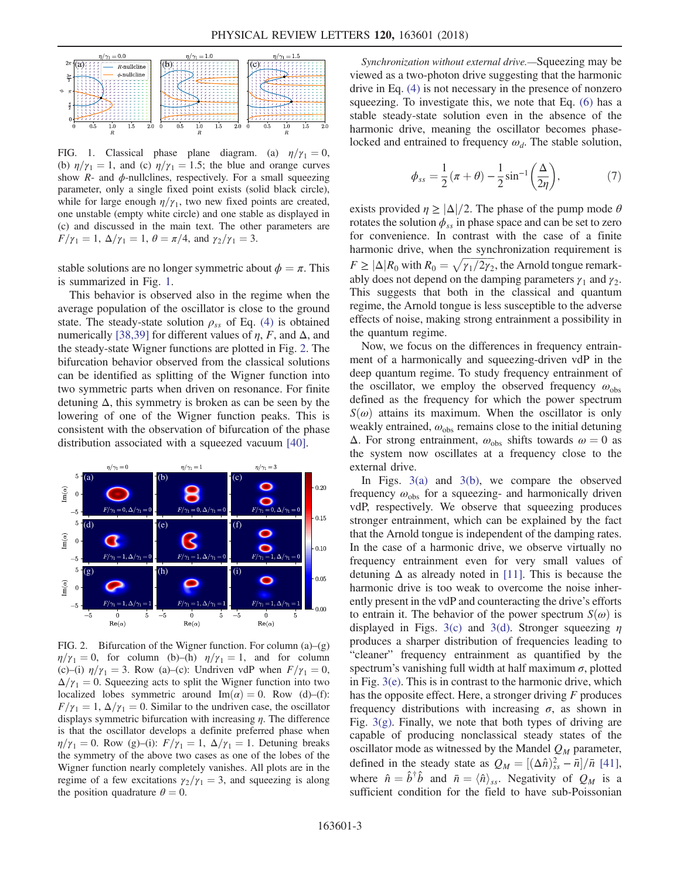<span id="page-3-0"></span>

FIG. 1. Classical phase plane diagram. (a)  $\eta/\gamma_1 = 0$ , (b)  $\eta/\gamma_1 = 1$ , and (c)  $\eta/\gamma_1 = 1.5$ ; the blue and orange curves show  $R$ - and  $\phi$ -nullclines, respectively. For a small squeezing parameter, only a single fixed point exists (solid black circle), while for large enough  $\eta/\gamma_1$ , two new fixed points are created, one unstable (empty white circle) and one stable as displayed in (c) and discussed in the main text. The other parameters are  $F/\gamma_1 = 1$ ,  $\Delta/\gamma_1 = 1$ ,  $\theta = \pi/4$ , and  $\gamma_2/\gamma_1 = 3$ .

stable solutions are no longer symmetric about  $\phi = \pi$ . This is summarized in Fig. [1](#page-3-0).

This behavior is observed also in the regime when the average population of the oscillator is close to the ground state. The steady-state solution  $\rho_{ss}$  of Eq. [\(4\)](#page-2-2) is obtained numerically [\[38,39\]](#page-5-16) for different values of  $η$ ,  $F$ , and  $Δ$ , and the steady-state Wigner functions are plotted in Fig. [2.](#page-3-1) The bifurcation behavior observed from the classical solutions can be identified as splitting of the Wigner function into two symmetric parts when driven on resonance. For finite detuning  $\Delta$ , this symmetry is broken as can be seen by the lowering of one of the Wigner function peaks. This is consistent with the observation of bifurcation of the phase distribution associated with a squeezed vacuum [\[40\]](#page-5-17).

<span id="page-3-1"></span>

FIG. 2. Bifurcation of the Wigner function. For column (a)–(g)  $\eta/\gamma_1 = 0$ , for column (b)–(h)  $\eta/\gamma_1 = 1$ , and for column (c)–(i)  $\eta/\gamma_1 = 3$ . Row (a)–(c): Undriven vdP when  $F/\gamma_1 = 0$ ,  $\Delta/\gamma_1 = 0$ . Squeezing acts to split the Wigner function into two localized lobes symmetric around  $\text{Im}(\alpha) = 0$ . Row (d)–(f):  $F/\gamma_1 = 1, \Delta/\gamma_1 = 0$ . Similar to the undriven case, the oscillator displays symmetric bifurcation with increasing  $\eta$ . The difference is that the oscillator develops a definite preferred phase when  $\eta/\gamma_1 = 0$ . Row (g)–(i):  $F/\gamma_1 = 1$ ,  $\Delta/\gamma_1 = 1$ . Detuning breaks the symmetry of the above two cases as one of the lobes of the Wigner function nearly completely vanishes. All plots are in the regime of a few excitations  $\gamma_2/\gamma_1 = 3$ , and squeezing is along the position quadrature  $\theta = 0$ .

Synchronization without external drive.—Squeezing may be viewed as a two-photon drive suggesting that the harmonic drive in Eq. [\(4\)](#page-2-2) is not necessary in the presence of nonzero squeezing. To investigate this, we note that Eq. [\(6\)](#page-2-3) has a stable steady-state solution even in the absence of the harmonic drive, meaning the oscillator becomes phaselocked and entrained to frequency  $\omega_d$ . The stable solution,

$$
\phi_{ss} = \frac{1}{2}(\pi + \theta) - \frac{1}{2}\sin^{-1}\left(\frac{\Delta}{2\eta}\right),\tag{7}
$$

exists provided  $\eta \geq |\Delta|/2$ . The phase of the pump mode  $\theta$ rotates the solution  $\phi_{ss}$  in phase space and can be set to zero for convenience. In contrast with the case of a finite harmonic drive, when the synchronization requirement is  $F \geq |\Delta| R_0$  with  $R_0 = \sqrt{\gamma_1/2\gamma_2}$ , the Arnold tongue remark-<br>ably does not depend on the damning parameters  $\chi_1$  and  $\chi_2$ ably does not depend on the damping parameters  $\gamma_1$  and  $\gamma_2$ . This suggests that both in the classical and quantum regime, the Arnold tongue is less susceptible to the adverse effects of noise, making strong entrainment a possibility in the quantum regime.

Now, we focus on the differences in frequency entrainment of a harmonically and squeezing-driven vdP in the deep quantum regime. To study frequency entrainment of the oscillator, we employ the observed frequency  $\omega_{obs}$ defined as the frequency for which the power spectrum  $S(\omega)$  attains its maximum. When the oscillator is only weakly entrained,  $\omega_{obs}$  remains close to the initial detuning Δ. For strong entrainment,  $ω<sub>obs</sub>$  shifts towards  $ω = 0$  as the system now oscillates at a frequency close to the external drive.

In Figs. [3\(a\)](#page-4-3) and [3\(b\),](#page-4-3) we compare the observed frequency  $\omega_{obs}$  for a squeezing- and harmonically driven vdP, respectively. We observe that squeezing produces stronger entrainment, which can be explained by the fact that the Arnold tongue is independent of the damping rates. In the case of a harmonic drive, we observe virtually no frequency entrainment even for very small values of detuning  $\Delta$  as already noted in [\[11\].](#page-5-8) This is because the harmonic drive is too weak to overcome the noise inherently present in the vdP and counteracting the drive's efforts to entrain it. The behavior of the power spectrum  $S(\omega)$  is displayed in Figs. [3\(c\)](#page-4-3) and [3\(d\)](#page-4-3). Stronger squeezing  $\eta$ produces a sharper distribution of frequencies leading to "cleaner" frequency entrainment as quantified by the spectrum's vanishing full width at half maximum  $\sigma$ , plotted in Fig. [3\(e\).](#page-4-3) This is in contrast to the harmonic drive, which has the opposite effect. Here, a stronger driving  $F$  produces frequency distributions with increasing  $\sigma$ , as shown in Fig.  $3(g)$ . Finally, we note that both types of driving are capable of producing nonclassical steady states of the oscillator mode as witnessed by the Mandel  $Q_M$  parameter, defined in the steady state as  $Q_M = [(\Delta \hat{n})^2_{ss} - \bar{n}]/\bar{n}$  [\[41\]](#page-5-18),<br>where  $\hat{n} = \hat{h}^{\dagger} \hat{h}$  and  $\bar{n} = \langle \hat{n} \rangle$ . Negativity of  $Q$  is a where  $\hat{n} = \hat{b}^{\dagger} \hat{b}$  and  $\bar{n} = \langle \hat{n} \rangle_{ss}$ . Negativity of  $Q_M$  is a sufficient condition for the field to have sub-Poissonian sufficient condition for the field to have sub-Poissonian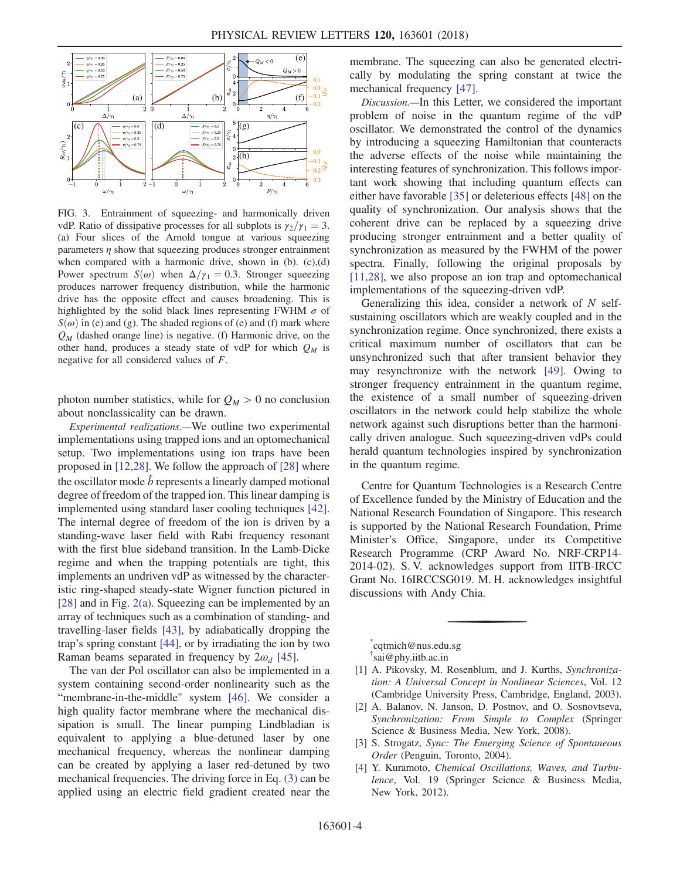<span id="page-4-3"></span>

FIG. 3. Entrainment of squeezing- and harmonically driven vdP. Ratio of dissipative processes for all subplots is  $\gamma_2/\gamma_1 = 3$ . (a) Four slices of the Arnold tongue at various squeezing parameters  $\eta$  show that squeezing produces stronger entrainment when compared with a harmonic drive, shown in (b). (c),(d) Power spectrum  $S(\omega)$  when  $\Delta/\gamma_1 = 0.3$ . Stronger squeezing produces narrower frequency distribution, while the harmonic drive has the opposite effect and causes broadening. This is highlighted by the solid black lines representing FWHM  $\sigma$  of  $S(\omega)$  in (e) and (g). The shaded regions of (e) and (f) mark where  $Q_M$  (dashed orange line) is negative. (f) Harmonic drive, on the other hand, produces a steady state of vdP for which  $Q_M$  is negative for all considered values of F.

photon number statistics, while for  $Q_M > 0$  no conclusion about nonclassicality can be drawn.

Experimental realizations.—We outline two experimental implementations using trapped ions and an optomechanical setup. Two implementations using ion traps have been proposed in [\[12,28\].](#page-5-19) We follow the approach of [\[28\]](#page-5-7) where the oscillator mode  $\hat{b}$  represents a linearly damped motional degree of freedom of the trapped ion. This linear damping is implemented using standard laser cooling techniques [\[42\]](#page-5-20). The internal degree of freedom of the ion is driven by a standing-wave laser field with Rabi frequency resonant with the first blue sideband transition. In the Lamb-Dicke regime and when the trapping potentials are tight, this implements an undriven vdP as witnessed by the characteristic ring-shaped steady-state Wigner function pictured in [\[28\]](#page-5-7) and in Fig. [2\(a\)](#page-3-1). Squeezing can be implemented by an array of techniques such as a combination of standing- and travelling-laser fields [\[43\]](#page-5-21), by adiabatically dropping the trap's spring constant [\[44\]](#page-5-22), or by irradiating the ion by two Raman beams separated in frequency by  $2\omega_d$  [\[45\].](#page-5-23)

The van der Pol oscillator can also be implemented in a system containing second-order nonlinearity such as the "membrane-in-the-middle" system [\[46\].](#page-5-24) We consider a high quality factor membrane where the mechanical dissipation is small. The linear pumping Lindbladian is equivalent to applying a blue-detuned laser by one mechanical frequency, whereas the nonlinear damping can be created by applying a laser red-detuned by two mechanical frequencies. The driving force in Eq. [\(3\)](#page-2-4) can be applied using an electric field gradient created near the membrane. The squeezing can also be generated electrically by modulating the spring constant at twice the mechanical frequency [\[47\]](#page-5-25).

Discussion.—In this Letter, we considered the important problem of noise in the quantum regime of the vdP oscillator. We demonstrated the control of the dynamics by introducing a squeezing Hamiltonian that counteracts the adverse effects of the noise while maintaining the interesting features of synchronization. This follows important work showing that including quantum effects can either have favorable [\[35\]](#page-5-26) or deleterious effects [\[48\]](#page-5-27) on the quality of synchronization. Our analysis shows that the coherent drive can be replaced by a squeezing drive producing stronger entrainment and a better quality of synchronization as measured by the FWHM of the power spectra. Finally, following the original proposals by [\[11,28\]](#page-5-8), we also propose an ion trap and optomechanical implementations of the squeezing-driven vdP.

Generalizing this idea, consider a network of  $N$  selfsustaining oscillators which are weakly coupled and in the synchronization regime. Once synchronized, there exists a critical maximum number of oscillators that can be unsynchronized such that after transient behavior they may resynchronize with the network [\[49\]](#page-5-28). Owing to stronger frequency entrainment in the quantum regime, the existence of a small number of squeezing-driven oscillators in the network could help stabilize the whole network against such disruptions better than the harmonically driven analogue. Such squeezing-driven vdPs could herald quantum technologies inspired by synchronization in the quantum regime.

Centre for Quantum Technologies is a Research Centre of Excellence funded by the Ministry of Education and the National Research Foundation of Singapore. This research is supported by the National Research Foundation, Prime Minister's Office, Singapore, under its Competitive Research Programme (CRP Award No. NRF-CRP14- 2014-02). S. V. acknowledges support from IITB-IRCC Grant No. 16IRCCSG019. M. H. acknowledges insightful discussions with Andy Chia.

<span id="page-4-1"></span><span id="page-4-0"></span>[\\*](#page-1-0) cqtmich@nus.edu.sg [†](#page-1-1) sai@phy.iitb.ac.in

- <span id="page-4-2"></span>[1] A. Pikovsky, M. Rosenblum, and J. Kurths, Synchronization: A Universal Concept in Nonlinear Sciences, Vol. 12 (Cambridge University Press, Cambridge, England, 2003).
- [2] A. Balanov, N. Janson, D. Postnov, and O. Sosnovtseva, Synchronization: From Simple to Complex (Springer Science & Business Media, New York, 2008).
- [3] S. Strogatz, Sync: The Emerging Science of Spontaneous Order (Penguin, Toronto, 2004).
- [4] Y. Kuramoto, Chemical Oscillations, Waves, and Turbulence, Vol. 19 (Springer Science & Business Media, New York, 2012).